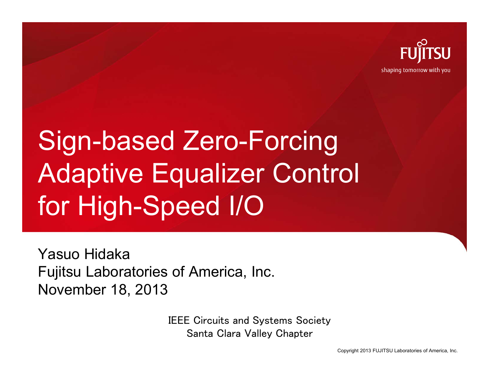

shaping tomorrow with you

# Sign-based Zero-Forcing Adaptive Equalizer Control for High-Speed I/O

Yasuo HidakaFujitsu Laboratories of America, Inc. November 18, 2013

> IEEE Circuits and Systems Society Santa Clara Valley Chapter

> > Copyright 2013 FUJITSU Laboratories of America, Inc.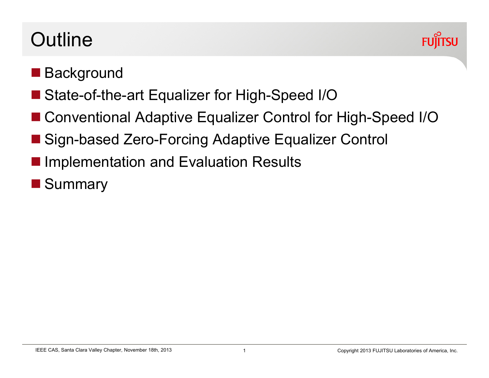## **Outline**



## **Background**

- State-of-the-art Equalizer for High-Speed I/O
- Conventional Adaptive Equalizer Control for High-Speed I/O
- Sign-based Zero-Forcing Adaptive Equalizer Control
- **Implementation and Evaluation Results**
- **Summary**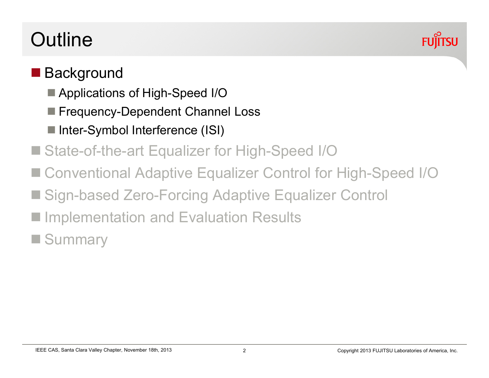# **Outline**



#### **Background**

- Applications of High-Speed I/O
- Frequency-Dependent Channel Loss
- Inter-Symbol Interference (ISI)
- State-of-the-art Equalizer for High-Speed I/O
- pin<br>Lihat Conventional Adaptive Equalizer Control for High-Speed I/O
- Sign-based Zero-Forcing Adaptive Equalizer Control
- **Implementation and Evaluation Results**

**Summary**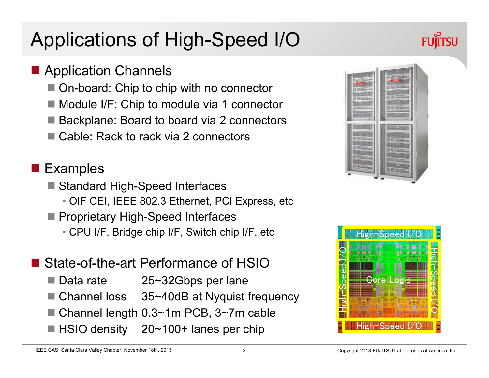# Applications of High-Speed I/O

## **Application Channels**

- On-board: Chip to chip with no connector
- Module I/F: Chip to module via 1 connector
- Backplane: Board to board via 2 connectors
- Cable: Rack to rack via 2 connectors

## **Examples**

- Standard High-Speed Interfaces
	- OIF CEI, IEEE 802.3 Ethernet, PCI Express, etc
- Proprietary High-Speed Interfaces
	- CPU I/F, Bridge chip I/F, Switch chip I/F, etc
- State-of-the-art Performance of HSIO
	- Data rate atta 25~32Gbps per lane
	- Channel loss 35~40dB at Nyquist frequency
	- Channel length 0.3~1m PCB, 3~7m cable
	- HSIO density 20~100+ lanes per chip



**FUITSU** 

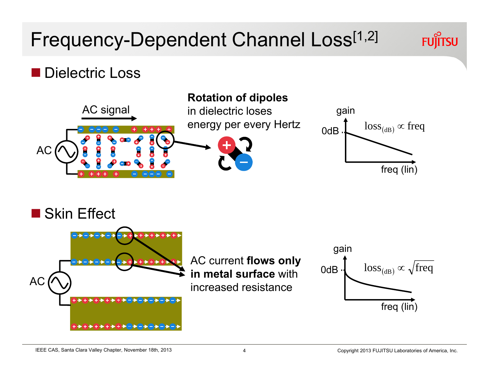## Frequency-Dependent Channel Loss<sup>[1,2]</sup>

#### Dielectric Loss





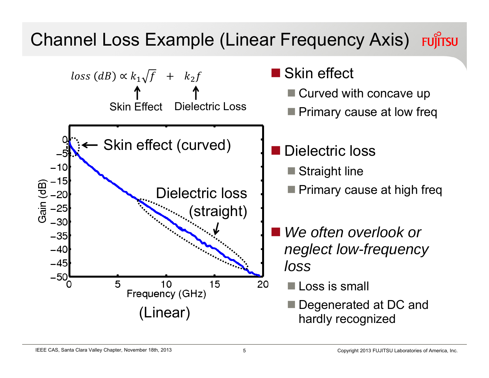## Channel Loss Example (Linear Frequency Axis) Fungritsu

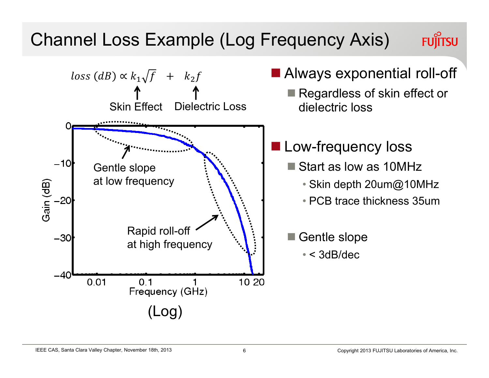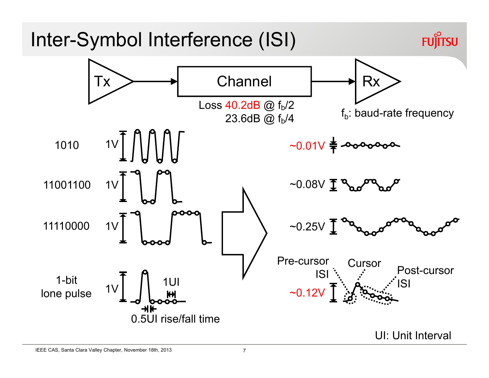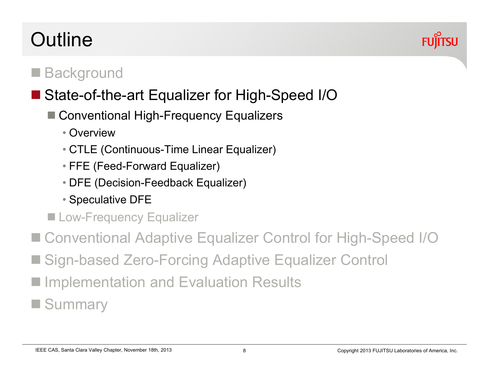#### IEEE CAS, Santa Clara Valley Chapter, November 18th, 2013 Copyright 2013 Copyright 2013 FUJITSU Laboratories of America, Inc.

## **Outline**

## pin<br>Lihat **Background**

## State-of-the-art Equalizer for High-Speed I/O

- Conventional High-Frequency Equalizers
	- Overview
	- CTLE (Continuous-Time Linear Equalizer)
	- FFE (Feed-Forward Equalizer)
	- DFE (Decision-Feedback Equalizer)
	- Speculative DFE
- **Low-Frequency Equalizer**
- Conventional Adaptive Equalizer Control for High-Speed I/O
- Sign-based Zero-Forcing Adaptive Equalizer Control
- **Implementation and Evaluation Results**

**Summary** 

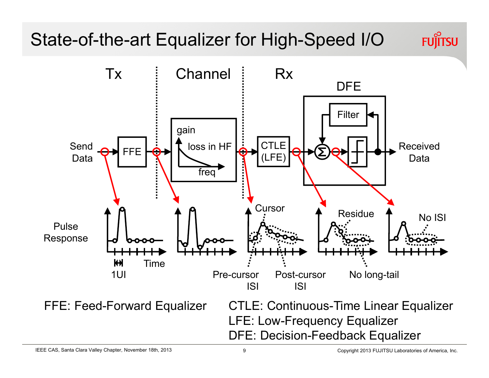## State-of-the-art Equalizer for High-Speed I/O



**FUJITSU**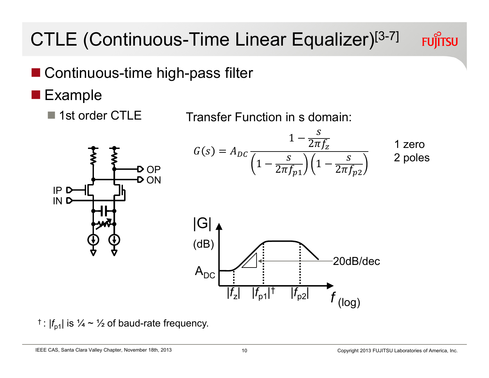# CTLE (Continuous-Time Linear Equalizer)[3-7]

- Continuous-time high-pass filter
- Example
	- 1st order CTLE Transfer Function in s domain:

 $\mathsf{A}_{\mathsf{DC}}$ 

 $G(s) = A_{DC}$  $1 - \frac{S}{2\pi f_Z}$  $1-\frac{S}{2\pi f_{p1}}\Big)\Big(1-\frac{S}{2\pi f_{p2}}\Big)$  $|G|$ (dB) 20dB/dec1 zero2 poles



<sup>†</sup>: 
$$
|f_{p1}|
$$
 is  $\frac{1}{4} \sim \frac{1}{2}$  of baud-rate frequency

IEEE CAS, Santa Clara Valley Chapter, November 18th, 2013 10

**FUJITSU** 

(log)

 $|f_{Z}|$   $|f_{p1}|^{\dagger}$   $|f_{p2}|^{\dagger}$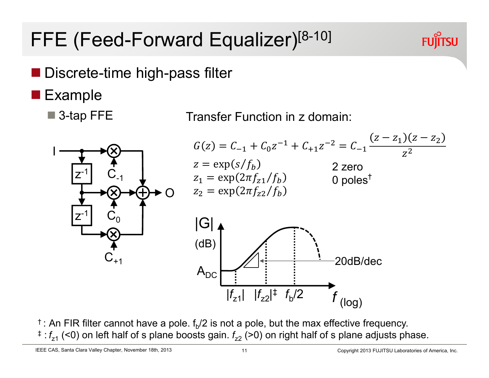# FFE (Feed-Forward Equalizer)<sup>[8-10]</sup>

- Discrete-time high-pass filter
- Example
	- 3-tap FFE





 $\dagger$ : An FIR filter cannot have a pole.  $f_{\rm b}/2$  is not a pole, but the max effective frequency.  $^{\ddagger}$  :  $f_{\rm z1}$  (<0) on left half of s plane boosts gain.  $f_{\rm z2}$  (>0) on right half of s plane adjusts phase.

IEEE CAS, Santa Clara Valley Chapter, November 18th, 2013

**FUJITSU**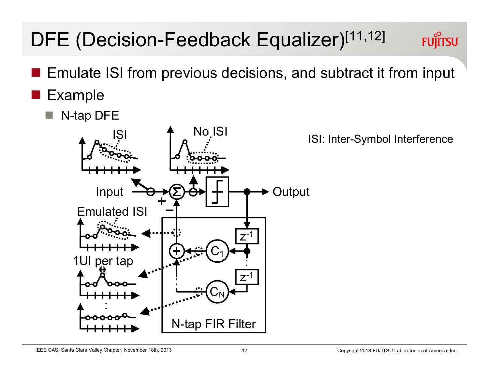#### IEEE CAS, Santa Clara Valley Chapter, November 18th, 2013

# DFE (Decision-Feedback Equalizer)<sup>[11,12]</sup>

- Emulate ISI from previous decisions, and subtract it from input
- Example
	- N-tap DFE



ISI: Inter-Symbol Interference

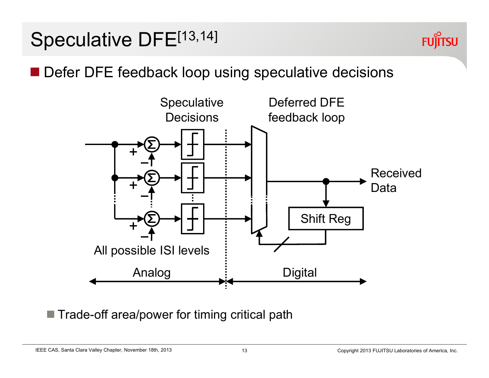## Speculative DFE[13,14]



**Defer DFE feedback loop using speculative decisions** 



■ Trade-off area/power for timing critical path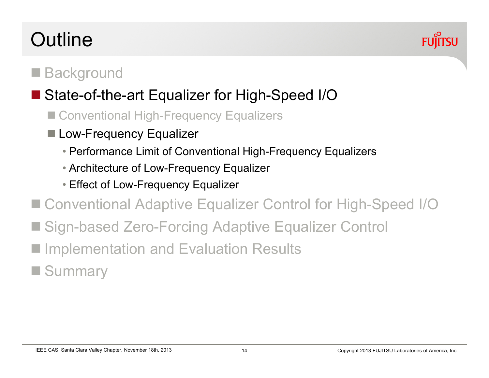#### IEEE CAS, Santa Clara Valley Chapter, November 18th, 2013 Copyright 2013 Copyright 2013 FUJITSU Laboratories of America, Inc.

## **Outline**

#### pin<br>Lihat **Background**

## State-of-the-art Equalizer for High-Speed I/O

- Conventional High-Frequency Equalizers
- Low-Frequency Equalizer
	- Performance Limit of Conventional High-Frequency Equalizers
	- Architecture of Low-Frequency Equalizer
	- Effect of Low-Frequency Equalizer
- Conventional Adaptive Equalizer Control for High-Speed I/O
- Sign-based Zero-Forcing Adaptive Equalizer Control
- **Implementation and Evaluation Results**
- **Summary**

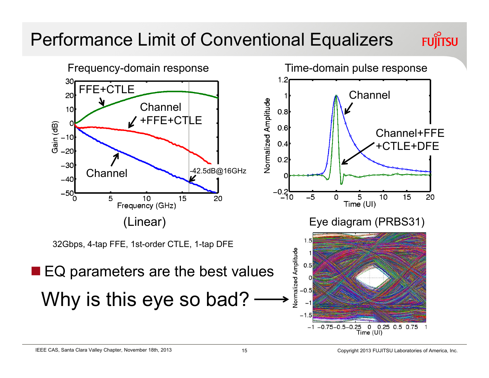## Performance Limit of Conventional Equalizers **FUJITSU**

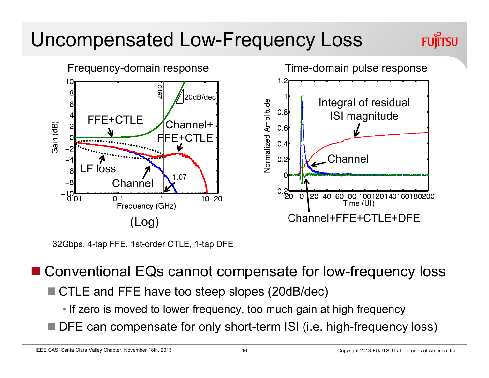## Uncompensated Low-Frequency Loss



32Gbps, 4-tap FFE, 1st-order CTLE, 1-tap DFE

■ Conventional EQs cannot compensate for low-frequency loss

- CTLE and FFE have too steep slopes (20dB/dec)
	- If zero is moved to lower frequency, too much gain at high frequency
- F DFE can compensate for only short-term ISI (i.e. high-frequency loss)

IEEE CAS, Santa Clara Valley Chapter, November 18th, 2013

**FUÎÍTSU**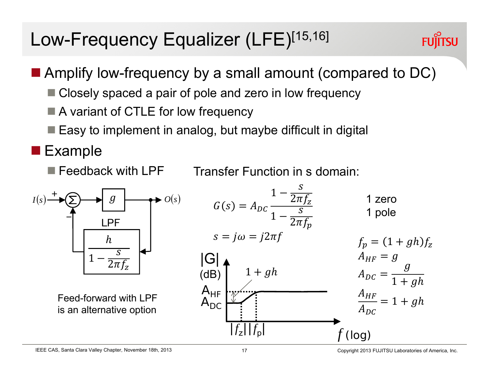## Low-Frequency Equalizer (LFE)[15,16]

**FUJITSU** 

- Amplify low-frequency by a small amount (compared to DC)
	- Closely spaced a pair of pole and zero in low frequency
	- A variant of CTLE for low frequency
	- $\blacksquare$  Easy to implement in analog, but maybe difficult in digital
- **Example** 
	- $\blacksquare$  Feedback with LPF

Transfer Function in s domain:

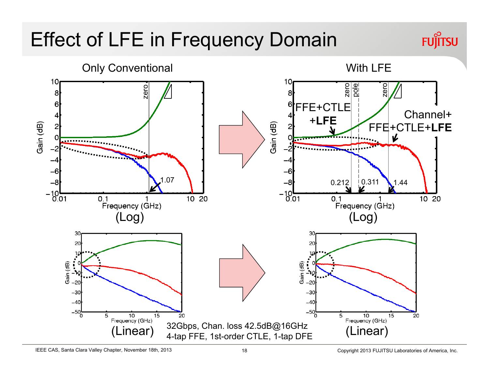# Effect of LFE in Frequency Domain



**FUJITSU**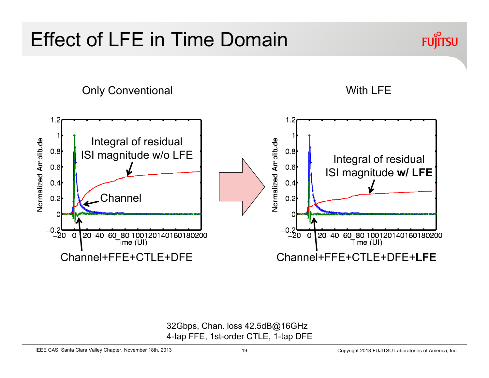## Effect of LFE in Time Domain



Only Conventional With LFE



32Gbps, Chan. loss 42.5dB@16GHz 4-tap FFE, 1st-order CTLE, 1-tap DFE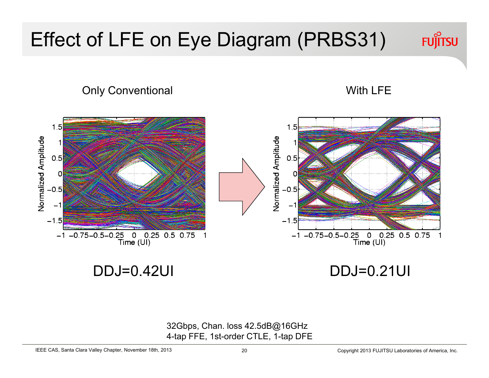

Only Conventional Number of American Conventional American Conventional Mith LFE



DDJ=0.42UI

DDJ=0.21UI

32Gbps, Chan. loss 42.5dB@16GHz 4-tap FFE, 1st-order CTLE, 1-tap DFE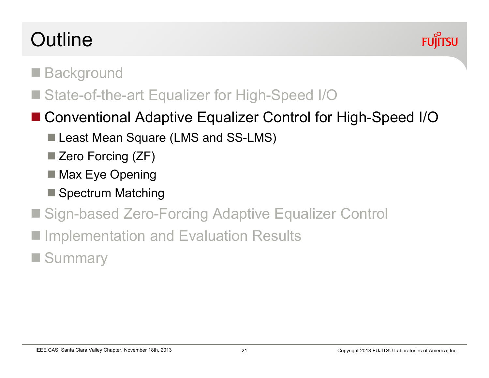# **Outline**



#### pin<br>Lihat **Background**

■ State-of-the-art Equalizer for High-Speed I/O

## ■ Conventional Adaptive Equalizer Control for High-Speed I/O

- Least Mean Square (LMS and SS-LMS)
- Zero Forcing (ZF)
- Max Eye Opening
- Spectrum Matching
- Sign-based Zero-Forcing Adaptive Equalizer Control
- pin<br>Lihat Implementation and Evaluation Results
- **Summary**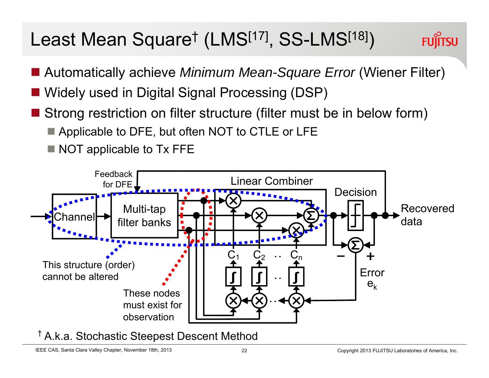## Least Mean Square† (LMS[17], SS-LMS[18])



- Automatically achieve *Minimum Mean-Square Error* (Wiener Filter)
- Widely used in Digital Signal Processing (DSP)
- Strong restriction on filter structure (filter must be in below form)
	- Applicable to DFE, but often NOT to CTLE or LFE
	- $\blacksquare$  NOT applicable to Tx FFE



† A.k.a. Stochastic Steepest Descent Method

IEEE CAS, Santa Clara Valley Chapter, November 18th, 2013 22 2 Copyright 2013 FUJITSU Laboratories of America, Inc.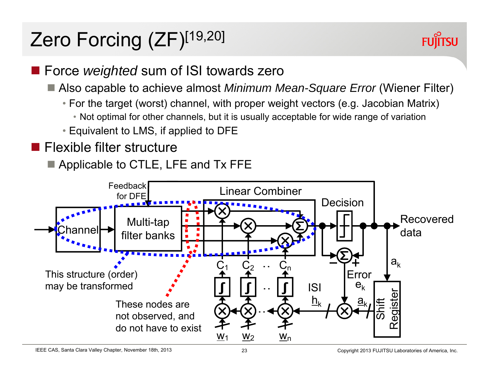# Zero Forcing (ZF)[19,20]



## **Force** *weighted* sum of ISI towards zero

- Also capable to achieve almost *Minimum Mean-Square Error* (Wiener Filter)
	- For the target (worst) channel, with proper weight vectors (e.g. Jacobian Matrix)
		- Not optimal for other channels, but it is usually acceptable for wide range of variation
	- Equivalent to LMS, if applied to DFE
- **Flexible filter structure** 
	- Applicable to CTLE, LFE and Tx FFE

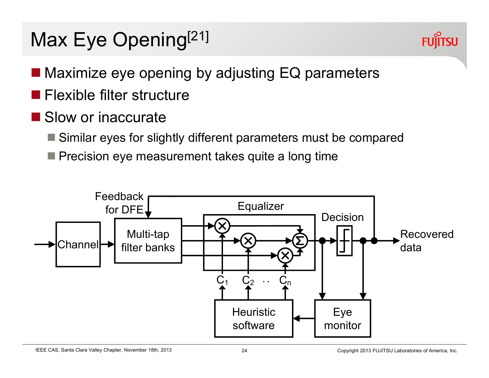# Max Eye Opening<sup>[21]</sup>



- Maximize eye opening by adjusting EQ parameters
- Flexible filter structure
- Slow or inaccurate
	- Similar eyes for slightly different parameters must be compared
	- $\blacksquare$  Precision eye measurement takes quite a long time

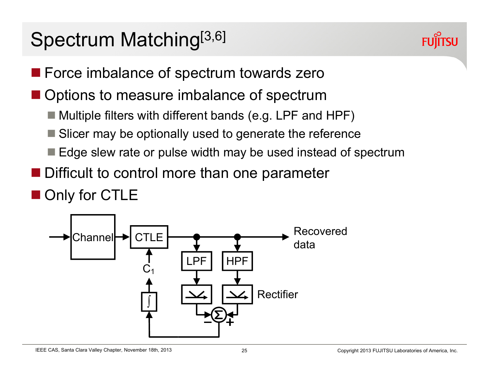# Spectrum Matching<sup>[3,6]</sup>



- **Force imbalance of spectrum towards zero**
- Options to measure imbalance of spectrum
	- Multiple filters with different bands (e.g. LPF and HPF)
	- Slicer may be optionally used to generate the reference
	- $\blacksquare$  Edge slew rate or pulse width may be used instead of spectrum
- **Difficult to control more than one parameter**

## Only for CTLE

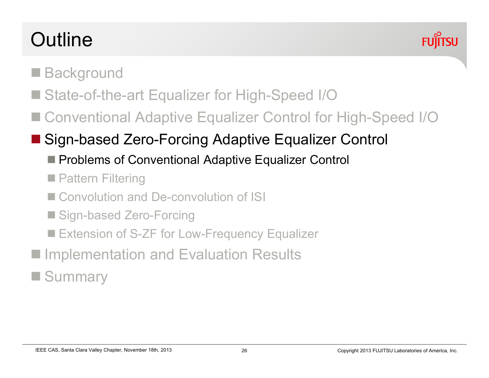# **Outline**



- pin<br>Lihat **Background**
- State-of-the-art Equalizer for High-Speed I/O
- Conventional Adaptive Equalizer Control for High-Speed I/O
- Sign-based Zero-Forcing Adaptive Equalizer Control
	- Problems of Conventional Adaptive Equalizer Control
	- **Pattern Filtering**
	- Convolution and De-convolution of ISI
	- Sign-based Zero-Forcing
	- Extension of S-ZF for Low-Frequency Equalizer
- pin<br>Lihat Implementation and Evaluation Results
- pin<br>Lihat **Summary**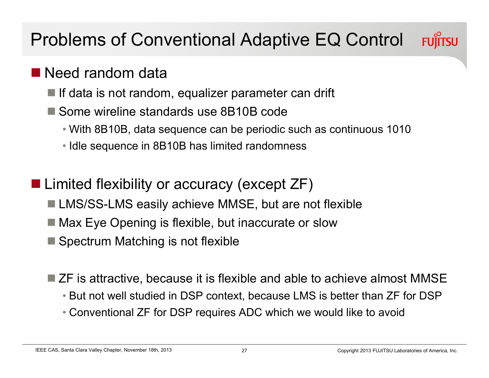## Problems of Conventional Adaptive EQ Control **FUJITSU**

## ■ Need random data

- $\blacksquare$  If data is not random, equalizer parameter can drift
- Some wireline standards use 8B10B code
	- With 8B10B, data sequence can be periodic such as continuous 1010
	- Idle sequence in 8B10B has limited randomness
- Limited flexibility or accuracy (except ZF)
	- LMS/SS-LMS easily achieve MMSE, but are not flexible
	- Max Eye Opening is flexible, but inaccurate or slow
	- Spectrum Matching is not flexible
	- ZF is attractive, because it is flexible and able to achieve almost MMSE
		- But not well studied in DSP context, because LMS is better than ZF for DSP
		- Conventional ZF for DSP requires ADC which we would like to avoid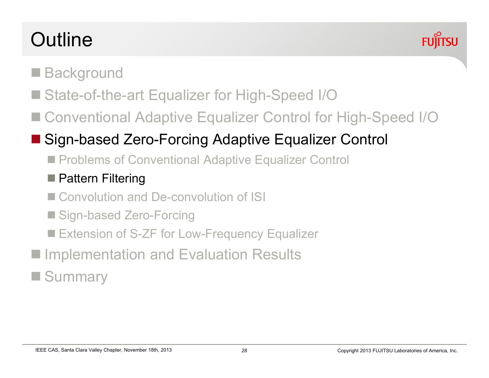# **Outline**



## pin<br>Lihat **Background**

- State-of-the-art Equalizer for High-Speed I/O
- Conventional Adaptive Equalizer Control for High-Speed I/O

## Sign-based Zero-Forcing Adaptive Equalizer Control

■ Problems of Conventional Adaptive Equalizer Control

## ■ Pattern Filtering

- Convolution and De-convolution of ISI
- Sign-based Zero-Forcing
- Extension of S-ZF for Low-Frequency Equalizer
- pin<br>Lihat Implementation and Evaluation Results

## **COL Summary**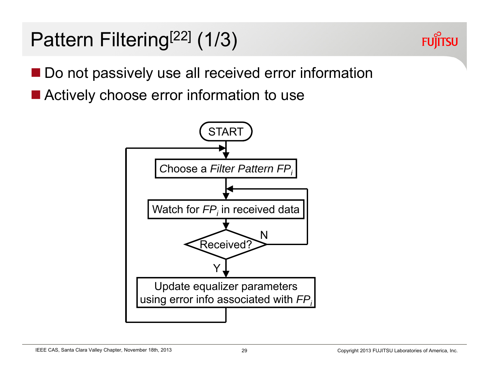# Pattern Filtering<sup>[22]</sup> (1/3)



- Do not passively use all received error information
- Actively choose error information to use

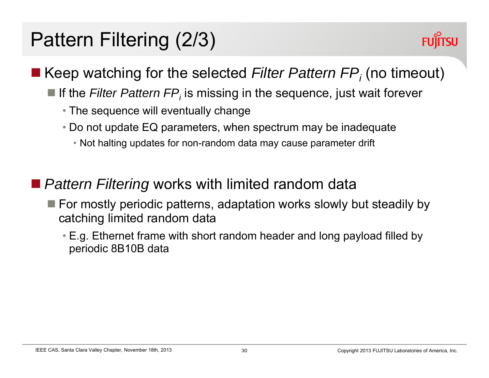# Pattern Filtering (2/3)



#### ■ Keep watching for the selected *Filter Pattern FP<sub>i</sub>* (no timeout)

- **If the** *Filter Pattern FP<sub>i</sub>* **is missing in the sequence, just wait forever** 
	- The sequence will eventually change
	- Do not update EQ parameters, when spectrum may be inadequate
		- Not halting updates for non-random data may cause parameter drift
- *Pattern Filtering* works with limited random data
	- $\blacksquare$  For mostly periodic patterns, adaptation works slowly but steadily by catching limited random data
		- E.g. Ethernet frame with short random header and long payload filled by periodic 8B10B data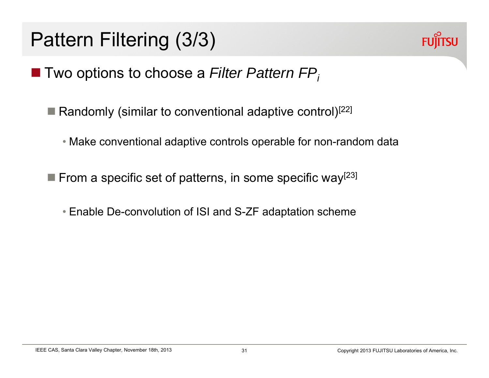# Pattern Filtering (3/3)



- Two options to choose a *Filter Pattern FP* 
	- Randomly (similar to conventional adaptive control)<sup>[22]</sup>
		- Make conventional adaptive controls operable for non-random data
	- **From a specific set of patterns, in some specific way**<sup>[23]</sup>
		- Enable De-convolution of ISI and S-ZF adaptation scheme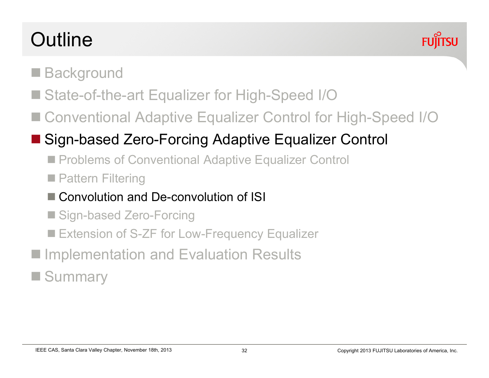# **Outline**



## pin<br>Lihat **Background**

- State-of-the-art Equalizer for High-Speed I/O
- Conventional Adaptive Equalizer Control for High-Speed I/O

## Sign-based Zero-Forcing Adaptive Equalizer Control

- Problems of Conventional Adaptive Equalizer Control
- **Pattern Filtering**
- Convolution and De-convolution of ISI
- Sign-based Zero-Forcing
- Extension of S-ZF for Low-Frequency Equalizer
- pin<br>Lihat Implementation and Evaluation Results

## pin<br>Lihat **Summary**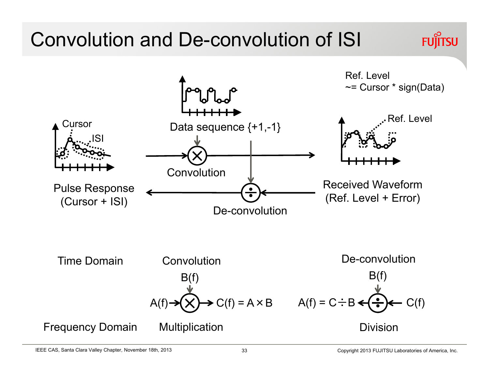## Convolution and De-convolution of ISI **FUJITSU** Ref. Level $\sim$ = Cursor  $*$  sign(Data) Ref. LevelCursor Data sequence {+1,-1} ISIConvolution Received WaveformPulse Response (Ref. Level + Error) (Cursor + ISI) De-convolutionDe-convolutionTime DomainConvolution $B(f)$  $B(f)$  $C(f) = A \times B$   $A(f) = C \div B \leftarrow ( \div ) \leftarrow C(f)$  $A(f)$ Frequency Domain **Multiplication** Division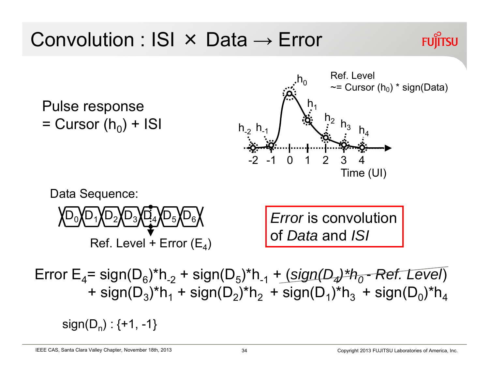

Error E4= sign(D6)\*h-2 + sign(D5)\*h-1 + (*sign(D4)\*h0 - Ref. Level*) + sign(D $_3$ )\*h $_1$  + sign(D $_2$ )\*h $_2$  + sign(D $_1$ )\*h $_3$  + sign(D $_0$ )\*h $_4$ 

 $sign(D_n): \{+1, -1\}$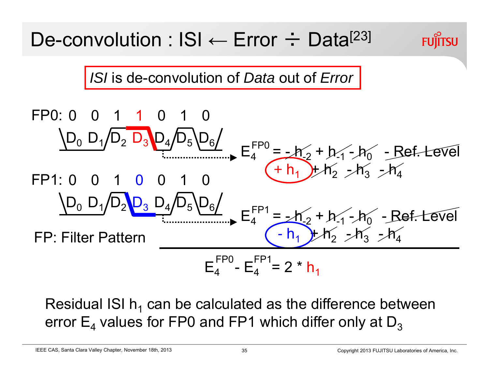*ISI* is de-convolution of *Data* out of *Error*

FP0: 0 0 1 1 0  
\n
$$
\underline{D_0 D_1 / D_2 D_3 D_4 / D_5 D_6/}
$$
\nFP1: 0 0 1 0 0 1 0  
\n
$$
\underline{D_0 D_1 / D_2 D_3 D_4 / D_5 D_6/}
$$
\nFP: Filter Pattern\nF  
\n
$$
E_4^{FP1} = -h'_2 + h'_1 - h'_0 - Ref. \text{Level}
$$
\nFP: Filter Pattern\n
$$
E_4^{FP1} = -h'_2 + h'_1 - h'_0 - Ref. \text{Level}
$$
\n
$$
E_4^{FP1} = -h'_2 + h'_1 - h'_0 - Ref. \text{Level}
$$

Residual ISI h<sub>1</sub> can be calculated as the difference between error  $\mathsf{E}_4$  values for FP0 and FP1 which differ only at  $\mathsf{D}_3$ 

IEEE CAS, Santa Clara Valley Chapter, November 18th, 2013 35 Copyright 2013 FUJITSU Laboratories of America, Inc.

**FUJITSU**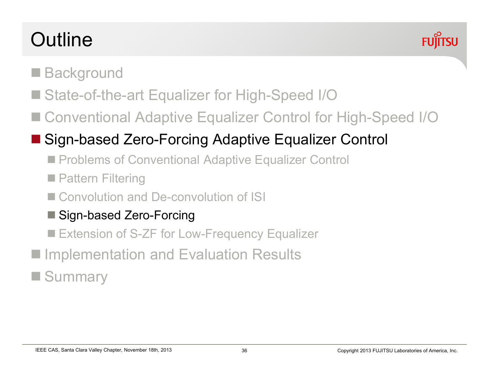# **Outline**



- pin<br>Lihat **Background**
- State-of-the-art Equalizer for High-Speed I/O
- Conventional Adaptive Equalizer Control for High-Speed I/O

## Sign-based Zero-Forcing Adaptive Equalizer Control

- Problems of Conventional Adaptive Equalizer Control
- **Pattern Filtering**
- Convolution and De-convolution of ISI
- Sign-based Zero-Forcing
- Extension of S-ZF for Low-Frequency Equalizer
- pin<br>Lihat Implementation and Evaluation Results
- pin<br>Lihat **Summary**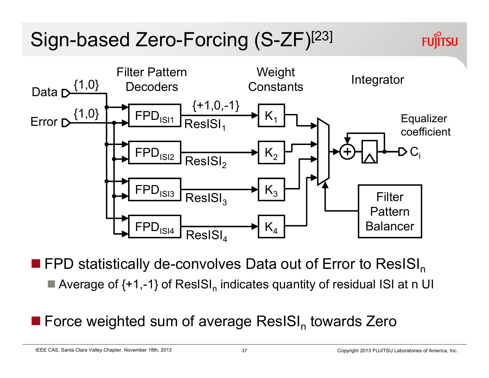# Sign-based Zero-Forcing (S-ZF)[23]



**FPD statistically de-convolves Data out of Error to ResISI**<sub>n</sub>  $\blacksquare$  Average of {+1,-1} of ResISI<sub>n</sub> indicates quantity of residual ISI at n UI

## **Force weighted sum of average ResISI**<sub>n</sub> towards Zero

IEEE CAS, Santa Clara Valley Chapter, November 18th, 2013 37 37 Copyright 2013 FUJITSU Laboratories of America, Inc.

**FUJITSU**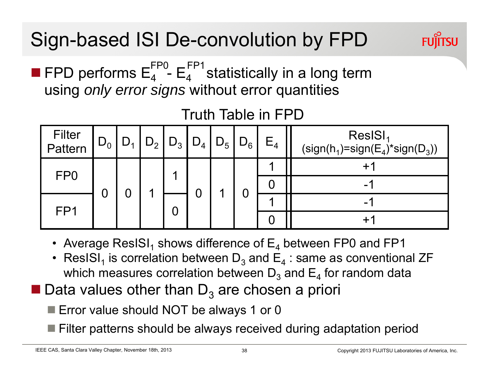# Sign-based ISI De-convolution by FPD

**FPD performs**  $E_4^{\prime}$  **-**  $E_4^{\prime}$  **statistically in a long term** using *only error signs* without error quantities FP0 \_FP1

| Filter<br>Pattern | $D_0$ | $D_1$ | $D_2$ | $D_3$ | $D_4$ | $\mid$ D <sub>5</sub> $\mid$ | $D_6$ | $E_4$ | ResISI <sub>1</sub><br>$(sign(h1)=sign(E4)*sign(D3))$ |
|-------------------|-------|-------|-------|-------|-------|------------------------------|-------|-------|-------------------------------------------------------|
| FP <sub>0</sub>   |       |       |       |       |       |                              |       |       |                                                       |
|                   |       |       |       |       |       |                              |       |       | -                                                     |
| FP1               |       |       |       | U     |       |                              |       |       | - 1                                                   |
|                   |       |       |       |       |       |                              |       |       |                                                       |

Truth Table in FPD

- Average ResISI $_{\rm 1}$  shows difference of  ${\sf E}_{\rm 4}$  between FP0 and FP1
- ResISI $_{\scriptscriptstyle 1}$  is correlation between  $\mathsf{D}_3$  and  $\mathsf{E}_4$  : same as conventional ZF which measures correlation between  $\mathsf{D}_3$  and  $\mathsf{E}_4$  for random data
- $\blacksquare$  Data values other than D<sub>3</sub> are chosen a priori

■ Error value should NOT be always 1 or 0

■ Filter patterns should be always received during adaptation period

**FUJITSU**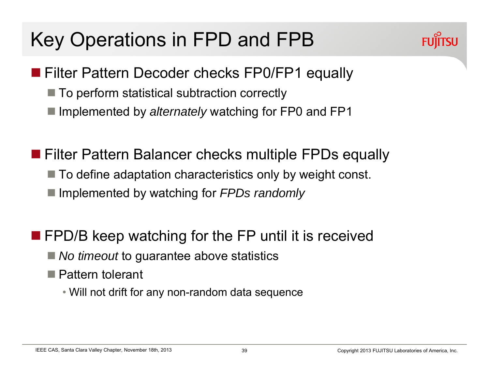# Key Operations in FPD and FPB



- **Filter Pattern Decoder checks FP0/FP1 equally** 
	- $\blacksquare$  To perform statistical subtraction correctly
	- **Implemented by** *alternately* **watching for FP0 and FP1**
- **Filter Pattern Balancer checks multiple FPDs equally** 
	- To define adaptation characteristics only by weight const.
	- Implemented by watching for *FPDs randomly*
- **FPD/B keep watching for the FP until it is received** 
	- *No timeout* to guarantee above statistics
	- Pattern tolerant
		- Will not drift for any non-random data sequence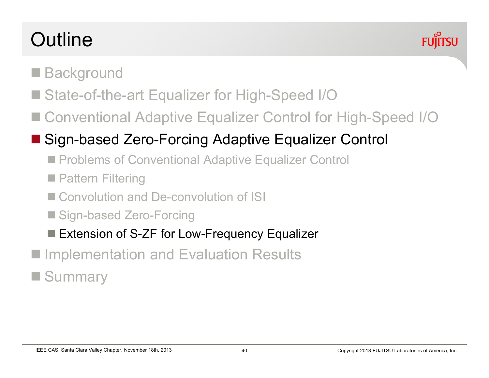# **Outline**



- pin<br>Lihat **Background**
- State-of-the-art Equalizer for High-Speed I/O
- Conventional Adaptive Equalizer Control for High-Speed I/O

## Sign-based Zero-Forcing Adaptive Equalizer Control

- Problems of Conventional Adaptive Equalizer Control
- **Pattern Filtering**
- Convolution and De-convolution of ISI
- Sign-based Zero-Forcing
- Extension of S-ZF for Low-Frequency Equalizer
- pin<br>Lihat Implementation and Evaluation Results
- pin<br>Lihat **Summary**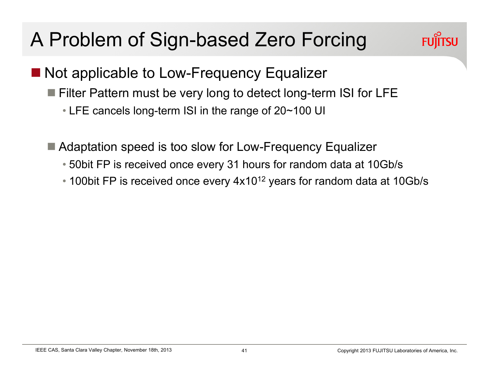# A Problem of Sign-based Zero Forcing



- Not applicable to Low-Frequency Equalizer
	- Filter Pattern must be very long to detect long-term ISI for LFE
		- LFE cancels long-term ISI in the range of 20~100 UI
	- Adaptation speed is too slow for Low-Frequency Equalizer
		- 50bit FP is received once every 31 hours for random data at 10Gb/s
		- 100bit FP is received once every  $4x10^{12}$  years for random data at 10Gb/s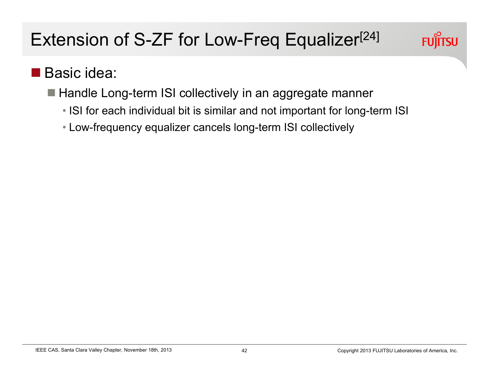

## ■ Basic idea:

- Handle Long-term ISI collectively in an aggregate manner
	- ISI for each individual bit is similar and not important for long-term ISI
	- Low-frequency equalizer cancels long-term ISI collectively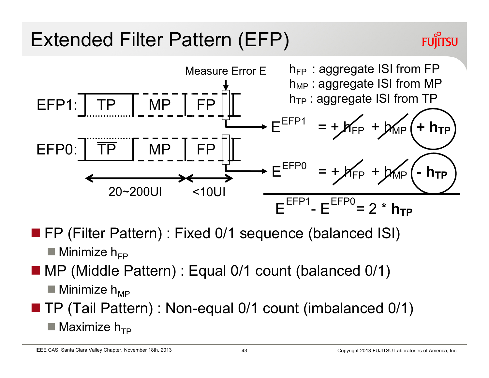# Extended Filter Pattern (EFP)



- FP (Filter Pattern) : Fixed 0/1 sequence (balanced ISI)
	- $\blacksquare$  Minimize  $\boldsymbol{\mathsf{h}}_{\textsf{FP}}$
- an<br>Ma MP (Middle Pattern) : Equal 0/1 count (balanced 0/1)
	- $\blacksquare$  Minimize  $\mathsf{h}_{\mathsf{MP}}$
- an<br>Ma TP (Tail Pattern) : Non-equal 0/1 count (imbalanced 0/1)  $\blacksquare$  Maximize  $\boldsymbol{\mathsf{h}}_{\mathsf{TP}}$

IEEE CAS, Santa Clara Valley Chapter, November 18th, 2013

**FUJITSU**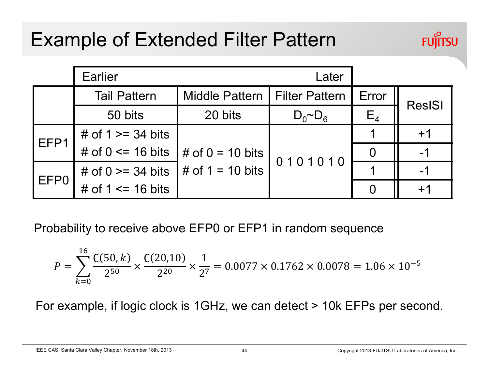## Example of Extended Filter Pattern



|                  | <b>Earlier</b>                                 |                                              |                |       |               |
|------------------|------------------------------------------------|----------------------------------------------|----------------|-------|---------------|
|                  | <b>Tail Pattern</b>                            | Middle Pattern   Filter Pattern              |                | Error | <b>ResISI</b> |
|                  | 50 bits                                        | 20 bits                                      | $D_0 \sim D_6$ | $E_4$ |               |
| EFP1             | # of $1 \ge 34$ bits                           |                                              | 0101010        |       | $+1$          |
|                  | # of $0 \le 16$ bits                           | $\frac{1}{2}$ # of 0 = 10 bits $\frac{1}{2}$ |                |       |               |
| EFP <sub>0</sub> | # of 0 >= 34 bits $\frac{1}{4}$ of 1 = 10 bits |                                              |                |       |               |
|                  | # of $1 \le$ 16 bits                           |                                              |                |       |               |

Probability to receive above EFP0 or EFP1 in random sequence

$$
P = \sum_{k=0}^{16} \frac{C(50, k)}{2^{50}} \times \frac{C(20, 10)}{2^{20}} \times \frac{1}{2^7} = 0.0077 \times 0.1762 \times 0.0078 = 1.06 \times 10^{-5}
$$

For example, if logic clock is 1GHz, we can detect > 10k EFPs per second.

IEEE CAS, Santa Clara Valley Chapter, November 18th, 2013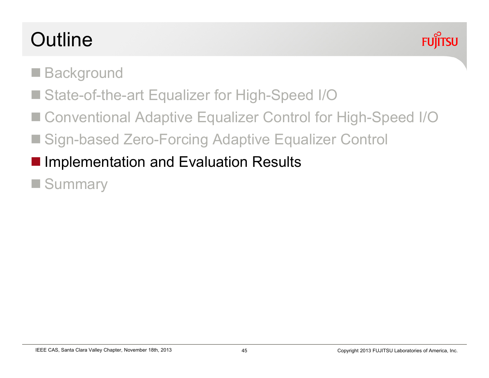# **Outline**



- **COL Background**
- State-of-the-art Equalizer for High-Speed I/O
- Conventional Adaptive Equalizer Control for High-Speed I/O
- Sign-based Zero-Forcing Adaptive Equalizer Control
- **Implementation and Evaluation Results**
- **Summary**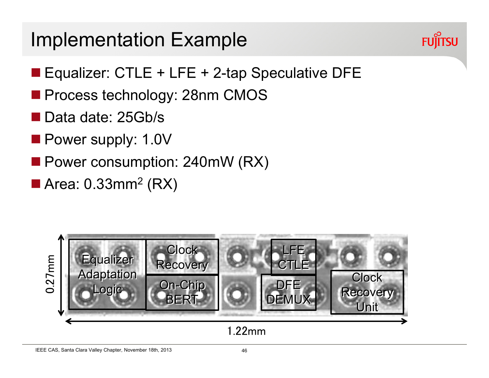## Implementation Example



- Equalizer: CTLE + LFE + 2-tap Speculative DFE
- Process technology: 28nm CMOS
- Data date: 25Gb/s
- **Power supply: 1.0V**
- **Power consumption: 240mW (RX)**
- Area: 0.33mm<sup>2</sup> (RX)

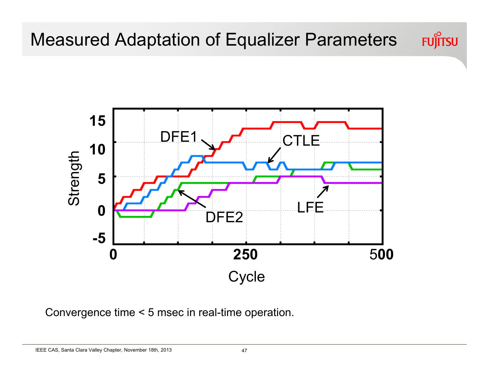

**Cycle** 

5**00**

DFE2

Convergence time < 5 msec in real-time operation.

**0 250**

IEEE CAS, Santa Clara Valley Chapter, November 18th, 2013

**0**

**-5**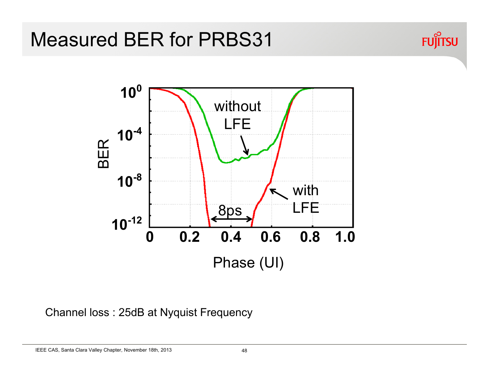



Channel loss : 25dB at Nyquist Frequency

IEEE CAS, Santa Clara Valley Chapter, November 18th, 2013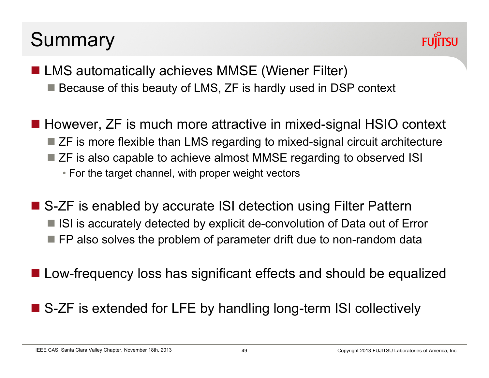## **Summary**



- LMS automatically achieves MMSE (Wiener Filter) ■ Because of this beauty of LMS, ZF is hardly used in DSP context
- However, ZF is much more attractive in mixed-signal HSIO context ■ ZF is more flexible than LMS regarding to mixed-signal circuit architecture ■ ZF is also capable to achieve almost MMSE regarding to observed ISI • For the target channel, with proper weight vectors
- S-ZF is enabled by accurate ISI detection using Filter Pattern  $\blacksquare$  ISI is accurately detected by explicit de-convolution of Data out of Error  $\blacksquare$  FP also solves the problem of parameter drift due to non-random data
- Low-frequency loss has significant effects and should be equalized
- S-ZF is extended for LFE by handling long-term ISI collectively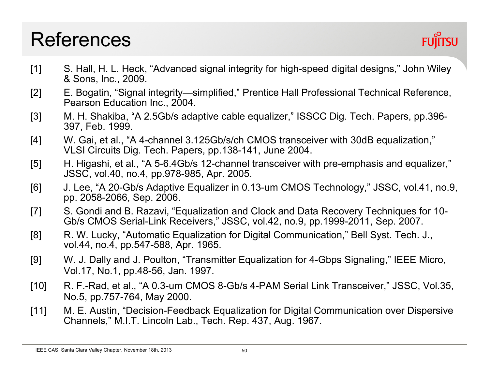## References

- [1] S. Hall, H. L. Heck, "Advanced signal integrity for high-speed digital designs," John Wiley & Sons, Inc., 2009.
- [2] E. Bogatin, "Signal integrity—simplified," Prentice Hall Professional Technical Reference, Pearson Education Inc., 2004.
- [3] M. H. Shakiba, "A 2.5Gb/s adaptive cable equalizer," ISSCC Dig. Tech. Papers, pp.396-397, Feb. 1999.
- [4] W. Gai, et al., "A 4-channel 3.125Gb/s/ch CMOS transceiver with 30dB equalization," VLSI Circuits Dig. Tech. Papers, pp.138-141, June 2004.
- [5] H. Higashi, et al., "A 5-6.4Gb/s 12-channel transceiver with pre-emphasis and equalizer," JSSC, vol.40, no.4, pp.978-985, Apr. 2005.
- [6] J. Lee, "A 20-Gb/s Adaptive Equalizer in 0.13-um CMOS Technology," JSSC, vol.41, no.9, pp. 2058-2066, Sep. 2006.
- [7] S. Gondi and B. Razavi, "Equalization and Clock and Data Recovery Techniques for 10- Gb/s CMOS Serial-Link Receivers," JSSC, vol.42, no.9, pp.1999-2011, Sep. 2007.
- [8] R. W. Lucky, "Automatic Equalization for Digital Communication," Bell Syst. Tech. J., vol.44, no.4, pp.547-588, Apr. 1965.
- [9] W. J. Dally and J. Poulton, "Transmitter Equalization for 4-Gbps Signaling," IEEE Micro, Vol.17, No.1, pp.48-56, Jan. 1997.
- [10] R. F.-Rad, et al., "A 0.3-um CMOS 8-Gb/s 4-PAM Serial Link Transceiver," JSSC, Vol.35, No.5, pp.757-764, May 2000.
- [11] M. E. Austin, "Decision-Feedback Equalization for Digital Communication over Dispersive Channels," M.I.T. Lincoln Lab., Tech. Rep. 437, Aug. 1967.

IEEE CAS, Santa Clara Valley Chapter, November 18th, 2013 **50** 50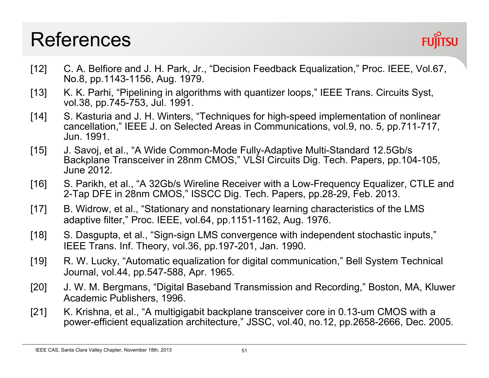## References



- [12] C. A. Belfiore and J. H. Park, Jr., "Decision Feedback Equalization," Proc. IEEE, Vol.67, No.8, pp.1143-1156, Aug. 1979.
- [13] K. K. Parhi, "Pipelining in algorithms with quantizer loops," IEEE Trans. Circuits Syst, vol.38, pp.745-753, Jul. 1991.
- [14] S. Kasturia and J. H. Winters, "Techniques for high-speed implementation of nonlinear cancellation," IEEE J. on Selected Areas in Communications, vol.9, no. 5, pp.711-717, Jun. 1991.
- [15] J. Savoj, et al., "A Wide Common-Mode Fully-Adaptive Multi-Standard 12.5Gb/s Backplane Transceiver in 28nm CMOS," VLSI Circuits Dig. Tech. Papers, pp.104-105, June 2012.
- [16] S. Parikh, et al., "A 32Gb/s Wireline Receiver with a Low-Frequency Equalizer, CTLE and 2-Tap DFE in 28nm CMOS," ISSCC Dig. Tech. Papers, pp.28-29, Feb. 2013.
- [17] B. Widrow, et al., "Stationary and nonstationary learning characteristics of the LMS adaptive filter," Proc. IEEE, vol.64, pp.1151-1162, Aug. 1976.
- [18] S. Dasgupta, et al., "Sign-sign LMS convergence with independent stochastic inputs," IEEE Trans. Inf. Theory, vol.36, pp.197-201, Jan. 1990.
- [19] R. W. Lucky, "Automatic equalization for digital communication," Bell System Technical Journal, vol.44, pp.547-588, Apr. 1965.
- [20] J. W. M. Bergmans, "Digital Baseband Transmission and Recording," Boston, MA, Kluwer Academic Publishers, 1996.
- [21] K. Krishna, et al., "A multigigabit backplane transceiver core in 0.13-um CMOS with a power-efficient equalization architecture," JSSC, vol.40, no.12, pp.2658-2666, Dec. 2005.

IEEE CAS, Santa Clara Valley Chapter, November 18th, 2013 **51** S1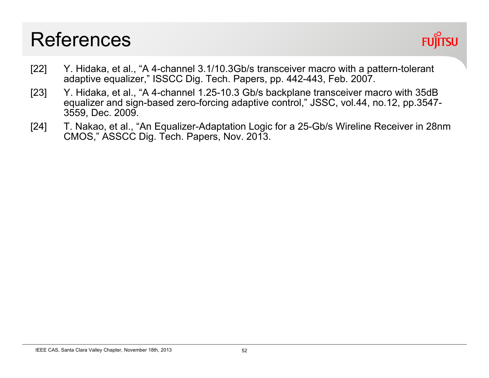## References



- [22] Y. Hidaka, et al., "A 4-channel 3.1/10.3Gb/s transceiver macro with a pattern-tolerant adaptive equalizer," ISSCC Dig. Tech. Papers, pp. 442-443, Feb. 2007.
- [23] Y. Hidaka, et al., "A 4-channel 1.25-10.3 Gb/s backplane transceiver macro with 35dB equalizer and sign-based zero-forcing adaptive control," JSSC, vol.44, no.12, pp.3547- 3559, Dec. 2009.
- [24] T. Nakao, et al., "An Equalizer-Adaptation Logic for a 25-Gb/s Wireline Receiver in 28nm CMOS," ASSCC Dig. Tech. Papers, Nov. 2013.